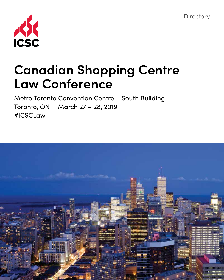**Directory** 



# **Canadian Shopping Centre Law Conference**

Metro Toronto Convention Centre – South Building Toronto, ON | March 27 – 28, 2019 #ICSCLaw

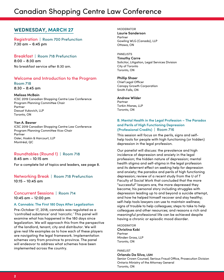# Canadian Shopping Centre Law Conference

# **WEDNESDAY, MARCH 27**

Registration | Room 700 Prefunction 7:30 am – 6:45 pm

Breakfast | Room 718 Prefunction  $8:00 - 8:30$  am

No breakfast service after 8:30 am.

# Welcome and Introduction to the Program

Room 718 8:30 – 8:45 am

#### **Melissa McBain**

ICSC 2019 Canadian Shopping Centre Law Conference Program Planning Committee Chair Partner Daoust Vukovich, LLP Toronto, ON

#### **Yan A. Besner**

ICSC 2019 Canadian Shopping Centre Law Conference Program Planning Committee Vice-Chair Partner Osler, Hoskin & Harcourt, LLP Montréal, QC

# Roundtables (Round 1) | Room 718

8:45 am – 10:15 am For a complete list of topics and leaders, see page 8.

Networking Break | Room 718 Prefunction  $10:15 - 10:45$  am

# Concurrent Sessions | Room 714 10:45 am – 12:00 pm

#### **A. Cannabis: The First 180 Days After Legalization**

Pre-October 17, 2018, cannabis was regulated as a 'controlled substance' and 'narcotic.' This panel will examine what has happened in the 180 days since legalization. We will approach this from the perspective of the landlord, tenant, city and distributor. We will give real life examples as to how each of these players are navigating the legal framework. Implementation schemes vary from province to province. The panel will endeavor to address what schemes have been implemented across the country.

**MODERATOR Laurie Sanderson** Partner Gowling WLG (Canada), LLP Ottawa, ON

PANELISTS **Timothy Carre** Solicitor, Litigation, Legal Services Division City of Toronto Toronto, ON

#### **Phillip Shaer**

Chief Legal Officer Canopy Growth Corporation Smith Falls, ON

#### **Andrew Wilder**

Partner Torkin Manes, LLP Toronto, ON

#### **B. Mental Health in the Legal Profession – The Paradox and Perils of High Functioning Depression (Professional Credits)** | Room 716

This session will focus on the perils, signs and selfhelp tools for people with high functioning (or hidden) depression in the legal profession.

Our panelist will discuss: the prevalence and high incidence of depression and anxiety in the legal profession; the hidden nature of depression; mental health stigma and self-stigma in the legal profession and its deterrent effect on seeking help for depression and anxiety; the paradox and perils of high functioning depression; review of a recent study from the U of T Faculty of Social Work that concluded that the more "successful" lawyers are, the more depressed they become; his personal story including struggles with depression leading up to and beyond a suicide attempt, and how he helped himself recover and stay healthy; self-help tools lawyers can use to maintain wellness; signs of trouble to help colleagues; steps to take to help colleagues and other resources; and reasons a rich and meaningful professional life can be achieved despite having a chronic or episodic mood disorder.

**MODERATOR Christina Kobi** Partner Minden Gross, LLP Toronto, ON

#### PANELIST **Orlando Da Silva, LSM**

Senior Crown Counsel, Serious Fraud Office, Prosecution Division Ontario Ministry of the Attorney General Toronto, ON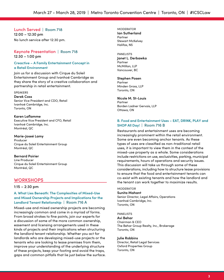#### Lunch Served | Room 718

12:00 – 12:30 pm No lunch service after 12:30 pm.

#### Keynote Presentation | Room 718 12:30 – 1:00 pm

#### **Creactive – A Family Entertainment Concept in a Retail Environment**

Join us for a discussion with Cirque du Soleil Entertainment Group and Ivanhoé Cambridge as they share the story of a creative collaboration and partnership in retail entertainment.

#### SPEAKERS

**Derek Coss** Senior Vice President and CDO, Retail Ivanhoé Cambridge, Inc.

Toronto, ON

#### **Karen Laflamme**

Executive Vice President and CFO, Retail Ivanhoé Cambridge, Inc. Montréal, QC

#### **Marie-Joseé Lamy**

Producer Cirque du Soleil Entertainment Group Montréal, QC

#### **Bernard Poirier**

Line Producer Cirque du Soleil Entertainment Group Montréal, QC

# **WORKSHOPS**

#### 1:15 – 2:30 pm

#### **A. What Lies Beneath: The Complexities of Mixed-Use and Mixed Ownership Projects and Implications for the Landlord Tenant Relationship** | Room 716 A

Mixed-use and mixed ownership projects are becoming increasingly common and come in a myriad of forms. From broad strokes to fine points, join our experts for a discussion of some of the more common ownership, easement and licensing arrangements used in these kinds of projects and their implications when structuring the landlord tenant relationship. Whether you act for landlords who are developing mixed-use projects or the tenants who are looking to lease premises from them, improve your understanding of the underlying structure of these projects, keep your footing and avoid the traps, gaps and common pitfalls that lie just below the surface. **MODERATOR Ian Sutherland** Partner Stewart McKelvey Halifax, NS

#### PANELISTS **Janet L. Derbawka** Partner McMillan, LLP Vancouver, BC

#### **Stephen Posen**

Partner Minden Gross, LLP Toronto, ON

#### **Nicole M. St-Louis**

Partner Borden Ladner Gervais, LLP Ottawa, ON

#### **B. Food and Entertainment Uses – EAT, DRINK, PLAY and SHOP All Day!** | Room 716 B

Restaurants and entertainment uses are becoming increasingly prominent within the retail environment. Some are even becoming anchor tenants. As these types of uses are classified as non-traditional retail uses, it is important to view them in the context of the mixed-use property as a whole. Some considerations include restrictions on use, exclusivities, parking, municipal requirements, hours of operations and security issues. This discussion will take us through some of these considerations, including how to structure lease provisions to ensure that the food and entertainment tenants can co-exist with existing tenants and how the landlord and the tenant can work together to maximize results.

#### **MODERATOR Sunita Mahant**

Senior Director, Legal Affairs, Operations Ivanhoé Cambridge, Inc. Toronto, ON

PANELISTS **Avi Behar** Chairman & CEO The Behar Group Realty, Inc., Brokerage Toronto, ON

**Julie Robbins** Director, Retail Legal Services Oxford Properties Group Toronto, ON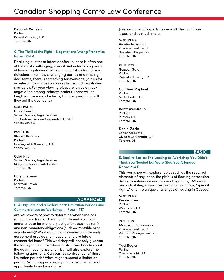# Canadian Shopping Centre Law Conference

**Deborah Watkins** Partner Daoust Vukovich, LLP Toronto, ON

#### **C. The Thrill of the Fight – Negotiations Among Frenemies** Room 714 A

Finalizing a letter of intent or offer to lease is often one of the most challenging, crucial and entertaining parts of lease negotiations. With subtle pitfalls, glaring risks, ridiculous timelines, challenging parties and missing deal terms, there is something for everyone. Join us for an interactive discussion on key terms and negotiating strategies. For your viewing pleasure, enjoy a mock negotiation among industry leaders. There will be laughter, there may be tears, but the question is, will they get the deal done?

#### **MODERATOR**

**David Fenrich** Senior Director, Legal Services The Cadillac Fairview Corporation Limited Vancouver, BC

#### PANELISTS

**Stacey Handley** Partner Gowling WLG (Canada), LLP Vancouver, BC

#### **Celia Hitch**

Senior Director, Legal Services Morguard Investments Limited Toronto, ON

**Cory Sherman** Partner Sherman Brown Toronto, ON

#### **ADVANCED**

# **D. A Day Late and a Dollar Short: Limitation Periods and Commercial Leases Workshop** | Room 717

Are you aware of how to determine when time has run out for a landlord or a tenant to make a claim under a lease for monetary obligations (such as rent) and non-monetary obligations (such as Rentable Area adjustments)? What about claims under an indemnity agreement provided to induce a landlord into a commercial lease? This workshop will not only give you the tools you need for where to start and how to count the days in your jurisdiction, but will also explore the following questions: Can parties contract out of these limitation periods? What might suspend a limitation period? What happens once you miss your window of opportunity to make a claim?

Join our panel of experts as we work through these issues and so much more.

**MODERATOR Amelia Nasrallah** Vice President, Legal Brookfield Properties Toronto, ON

PANELISTS **Gasper Galati** Partner Daoust Vukovich, LLP Toronto, ON

#### **Courtney Raphael**

Partner Aird & Berlis, LLP Toronto, ON

#### **Barry Weintraub**

Partner Rueters, LLP Toronto, ON

#### **Daniel Zacks**

Senior Associate Clyde & Co Canada, LLP Toronto, ON

#### **BASIC**

#### **E. Back to Basics: The Leasing 101 Workshop You Didn't Think You Needed but Were Glad You Attended** Room 714 B

This workshop will explore topics such as the required elements of any lease, the pitfalls of floating possession dates, maintenance and repair obligations, TMI costs and calculating shares, restoration obligations, "special rights," and the unique challenges of leasing in Québec.

MODERATOR **Karsten Lee** Partner WeirFoulds, LLP Toronto, ON

PANELISTS **Mordecai Bobrowsky**  Vice President, Legal Primaris Management, Inc. Toronto, ON

#### **Yael Bogler**

Partner Owens Wright, LLP Toronto, ON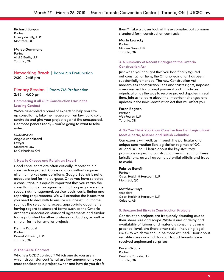#### **Richard Burgos**

Partner Lavery de Billy, LLP Montréal, QC

#### **Marco Gammone** Partner Aird & Berlis, LLP Toronto, ON

### Networking Break | Room 718 Prefunction 2:30 – 2:45 pm

### Plenary Session | Room 718 Prefunction 2:45 – 4:00 pm

#### **Hammering it all Out: Construction Law in the Leasing Context**

We've assembled a panel of experts to help you size up consultants, take the measure of lien law, build solid contracts and gird your project against the unexpected. Get those pencils ready – you're going to want to take notes.

MODERATOR **Angela Mockford** Lawyer Mockford Law St. Catherines, ON

#### **1. How to Choose and Retain an Expert**

Good consultants are often critically important in a construction project. Choosing a consultant requires attention to key considerations. Google Search is not an adequate tool for the purpose. Once you have selected a consultant, it is equally important that you retain the consultant under an agreement that properly covers the scope, risk management, service levels, costs, timing and reporting requirements. We will examine the issues that you need to deal with to ensure a successful outcome, such as the selection process, appropriate documents having regard to standard forms such as the Ontario Architects Association standard agreements and similar forms published by other professional bodies, as well as simpler forms for smaller projects.

**Dennis Daoust** Partner Daoust Vukovich, LLP Toronto, ON

#### **2. The CCDC Contract**

What's a CCDC contract? Which one do you use in which circumstances? What are key amendments you must consider as a project owner and how do you draft them? Take a closer look at these complex but common standard form construction contracts.

**Marta Lewycky** Partner Minden Gross, LLP Toronto, ON

#### **3. A Summary of Recent Changes to the Ontario Construction Act**

Just when you thought that you had finally figured out construction liens, the Ontario legislation has been substantially amended. The new Construction Act modernizes construction liens and trusts rights, imposes a requirement for prompt payment and introduces adjudication as the way to resolve project disputes in real time. Join us to learn about the important changes and updates in the new Construction Act that will affect you.

#### **Faren Bogach**

Partner WeirFoulds, LLP Toronto, ON

#### **4. So You Think You Know Construction Lien Legislation? Meet Alberta, Québec and British Columbia**

Our experts will walk us through the particular and unique construction lien legislation regimes of QC, AB and BC. You'll learn about the key statutory provisions regarding construction liens in each of these jurisdictions, as well as some potential pitfalls and traps to avoid.

#### **Fabrice Benoît** Partner Osler, Hoskin & Harcourt, LLP Montréal, QC

#### **Matthew Huys**

Associate Osler, Hoskin & Harcourt, LLP Calgary, AB

#### **5. Unexpected Risks in Construction Projects**

Construction projects are frequently daunting due to their sheer size and scope. While issues of delay and availability of labour and materials consume us on a practical level, are there other risks - including legal risks - to which we should be more attuned? Hear about real-life cases in which landlords and tenants have received unpleasant surprises.

#### **Karen Groulx**

Partner Dentons Canada, LLP Toronto, ON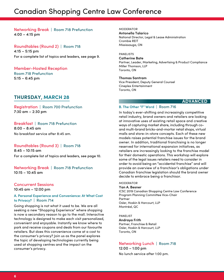# Canadian Shopping Centre Law Conference

# Networking Break | Room 718 Prefunction 4:00 – 4:15 pm

Roundtables (Round 2) | Room 718 4:15 – 5:15 pm For a complete list of topics and leaders, see page 9.

Member-Hosted Reception Room 718 Prefunction 5:15 – 6:45 pm

# **THURSDAY, MARCH 28**

Registration | Room 700 Prefunction 7:30 am – 2:30 pm

# Breakfast | Room 718 Prefunction

 $8:00 - 8:45$  am No breakfast service after 8:45 am.

# Roundtables (Round 3) | Room 718

8:45 – 10:15 am For a complete list of topics and leaders, see page 10.

Networking Break | Room 718 Prefunction 10:15 – 10:45 am

# Concurrent Sessions 10:45 am – 12:00 pm

#### **A. Personal Experience and Convenience: At What Cost to Privacy?** | Room 714

Going shopping is not what it used to be. We are all seeking a new "Shopping Experience" where shopping is now a secondary reason to go to the mall. Interactive technology is designed to make each visit personalized, convenient and enjoyable. Instantly we know where to park and receive coupons and deals from our favourite retailers. But does this convenience come at a cost to the consumer's privacy? Join us as the panel explores the topic of developing technologies currently being used at shopping centres and the impact on the consumer's privacy.

MODERATOR **Antonella Talarico** National Director, Legal & Lease Administration Crombie REIT Mississauga, ON

PANELISTS

**Catherine Bate** Partner, Leader, Marketing, Advertising & Product Compliance Miller Thomson, LLP Toronto, ON

#### **Thomas Santram**

Vice President, Deputy General Counsel Cineplex Entertainment Toronto, ON

# **ADVANCED**

#### **B. The Other "F" Word** | Room 716

In today's ever-shifting and increasingly competitive retail industry, brand owners and retailers are looking at innovative uses of existing retail space and creative ways of capturing market share, including through coand multi-brand bricks-and-mortar retail shops, virtual malls and store-in-store concepts. Each of these new models raises potential franchise issues for the brand owner. In addition, traditional franchising is no longer reserved for international expansion initiatives, as retailers are increasingly looking to the franchise model for their domestic operations. This workshop will explore some of the legal issues retailers need to consider in order to avoid being an "accidental franchise" and will provide an overview of a franchisor's obligations under Canadian franchise legislation should the brand owner decide to embrace being a franchisor.

#### MODERATOR

#### **Yan A. Besner**

ICSC 2019 Canadian Shopping Centre Law Conference Program Planning Committee Vice-Chair Partner Osler, Hoskin & Harcourt, LLP Montréal, QC

PANELIST **Andraya Frith** Partner, Franchise & Retail Osler, Hoskin & Harcourt, LLP Toronto, ON

# Networking Lunch | Room 718

12:00 – 1:00 pm No lunch service after 1:00 pm.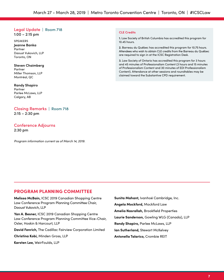### Legal Update | Room 718

1:00 – 2:15 pm

SPEAKERS **Jeanne Banka** Partner Daoust Vukovich, LLP Toronto, ON

**Steven Chaimberg** Partner Miller Thomson, LLP

Montréal, QC

**Randy Shapiro** Partner Parlee McLaws, LLP Calgary, AB

#### Closing Remarks | Room 718 2:15 – 2:30 pm

#### Conference Adjourns 2:30 pm

*Program information current as of March 14, 2019.* 

#### **CLE Credits**

**1.** Law Society of British Columbia has accredited this program for 10.45 hours.

**2.** Barreau du Québec has accredited this program for 10.75 hours. Attendees who wish to obtain CLE credits from the Barreau du Québec are required to sign in at the ICSC Registration Desk.

**3.** Law Society of Ontario has accredited this program for 3 hours and 45 minutes of Professionalism Content (3 hours and 15 minutes of Professionalism Content and 30 minutes of EDI Professionalism Content). Attendance at other sessions and roundtables may be claimed toward the Substantive CPD requirement.

# **PROGRAM PLANNING COMMITTEE**

**Melissa McBain,** ICSC 2019 Canadian Shopping Centre Law Conference Program Planning Committee Chair, Daoust Vukovich, LLP

**Yan A. Besner,** ICSC 2019 Canadian Shopping Centre Law Conference Program Planning Committee Vice-Chair, Osler, Hoskin & Harcourt, LLP

**David Fenrich,** The Cadillac Fairview Corporation Limited

**Christina Kobi,** Minden Gross, LLP

**Karsten Lee,** WeirFoulds, LLP

**Sunita Mahant,** Ivanhoé Cambridge, Inc. **Angela Mockford,** Mockford Law **Amelia Nasrallah,** Brookfield Properties **Laurie Sanderson,** Gowling WLG (Canada), LLP **Randy Shapiro,** Parlee McLaws, LLP **Ian Sutherland,** Stewart McKelvey **Antonella Talarico,** Crombie REIT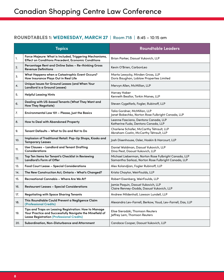# **ROUNDTABLES 1: WEDNESDAY, MARCH 27 |** Room 718 **|** 8:45 – 10:15 am

|     | <b>Topics</b>                                                                                                                                                         | <b>Roundtable Leaders</b>                                                                                   |
|-----|-----------------------------------------------------------------------------------------------------------------------------------------------------------------------|-------------------------------------------------------------------------------------------------------------|
| 1.  | Force Majeure: What is Included, Triggering Mechanisms,<br><b>Effect on Conditions Precedent, Economic Conditions</b>                                                 | Brian Parker, Daoust Vukovich, LLP                                                                          |
| 2.  | Percentage Rent and Online Sales - Re-thinking Gross<br><b>Revenue Definitions</b>                                                                                    | Kevin O'Brien, CarbonLeo                                                                                    |
| 3.  | What Happens when a Catastrophic Event Occurs?<br>How Insurance Plays Out in Real Life                                                                                | Marta Lewycky, Minden Gross, LLP<br>Doris Baughan, Loblaw Properties Limited                                |
| 4.  | Unique Issues for Ground Leases (and When Your<br>Landlord is a Ground Lessee)                                                                                        | Mervyn Allen, McMillan, LLP                                                                                 |
| 5.  | <b>Helpful Leasing Hints</b>                                                                                                                                          | <b>Harvey Haber</b><br>Kenneth Beallor, Torkin Manes, LLP                                                   |
| 6.  | Dealing with US-based Tenants (What They Want and<br><b>How They Negotiate)</b>                                                                                       | Steven Cygelfarb, Fogler, Rubinoff, LLP                                                                     |
| 7.  | Environmental Law 101 - Please, Just the Basics                                                                                                                       | Talia Gordner, McMillan, LLP<br>Janet Bobechko, Norton Rose Fulbright Canada, LLP                           |
| 8.  | How to Deal with Abandoned Property                                                                                                                                   | Leanne Fasciano, Dentons Canada, LLP<br>Katherine Fuda, Dentons Canada, LLP                                 |
| 9.  | Tenant Defaults – What to Do and Not to Do                                                                                                                            | Charlene Schafer, McCarthy Tétrault, LLP<br>Abraham Costin, McCarthy Tétrault, LLP                          |
| 10. | Implosion of Traditional Retail: Pop-Up Shops, Kiosks and<br><b>Temporary Leases</b>                                                                                  | Josh Disenhouse, Osler, Hoskin & Harcourt, LLP                                                              |
| 11. | Use Clauses - Landlord and Tenant Drafting<br><b>Considerations</b>                                                                                                   | Daniel Waldman, Daoust Vukovich, LLP<br>Dina Peat, Daoust Vukovich, LLP                                     |
| 12. | Top Ten Items for Tenant's Checklist in Reviewing<br><b>Landlord's Form of Offer</b>                                                                                  | Michael Lieberman, Norton Rose Fulbright Canada, LLP<br>Samantha Sarkozi, Norton Rose Fulbright Canada, LLP |
| 13. | Food Court Lease - Special Considerations                                                                                                                             | Alex Kolandjian, Fogler Rubinoff, LLP                                                                       |
| 14. | The New Construction Act, Ontario - What's Changed?                                                                                                                   | Krista Chaytor, WeirFoulds, LLP                                                                             |
| 15. | Recreational Cannabis - Where Are We At?                                                                                                                              | Robert Eisenberg, WeirFoulds, LLP                                                                           |
| 16. | <b>Restaurant Leases - Special Considerations</b>                                                                                                                     | Jamie Paguin, Daoust Vukovich, LLP<br>Claire Renney-Dodds, Daoust Vukovich, LLP                             |
| 17. | <b>Negotiating with Space Sharing Tenants</b>                                                                                                                         | Andrew Mildenhall, Lawson Lundell, LLP                                                                      |
| 18. | This Roundtable Could Prevent a Negligence Claim<br>(Professional Credits)                                                                                            | Alexandra Lev-Farrell, Berkow, Youd, Lev-Farrell, Das, LLP                                                  |
| 19. | Tips and Traps on Leasing Registration: How to Manage<br>Your Practice and Successfully Navigate the Minefield of<br><b>Lease Registration (Professional Credits)</b> | Elise Sieradzki, Thomson Reuters<br>Jeffrey Lem, Thomson Reuters                                            |
| 20. | Subordination, Non-Disturbance and Attornment                                                                                                                         | Candace Cooper, Daoust Vukovich, LLP                                                                        |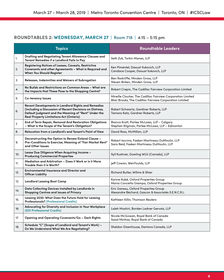# **ROUNDTABLES 2: WEDNESDAY, MARCH 27 |** Room 718 **|** 4:15 – 5:15 pm

| <b>Topics</b> |                                                                                                                                                                                                                           | <b>Roundtable Leaders</b>                                                                                               |
|---------------|---------------------------------------------------------------------------------------------------------------------------------------------------------------------------------------------------------------------------|-------------------------------------------------------------------------------------------------------------------------|
| 1.            | Drafting and Negotiating Tenant Allowance Clauses and<br>Tenant Remedies if a Landlord Fails to Pay                                                                                                                       | Seth Zuk, Torkin Manes, LLP                                                                                             |
| 2.            | Registering Notices of Leases, Caveats, Restrictive<br>Covenants and other Agreements - What is Required and<br>When You Should Register                                                                                  | Ken Pimentel, Daoust Vukovich, LLP<br>Candace Cooper, Daoust Vukovich, LLP                                              |
| 3.            | Releases, Indemnities and Waivers of Subrogation                                                                                                                                                                          | Ben Radcliffe, Minden Gross, LLP<br>Steven Birken, Minden Gross, LLP                                                    |
| 4.            | No Builds and Restrictions on Common Areas – What are<br>the Impacts that These Pose to the Shopping Centre?                                                                                                              | Robert Crepin, The Cadillac Fairview Corporation Limited                                                                |
| 5.            | <b>Co-tenancy Issues</b>                                                                                                                                                                                                  | Mireille Cloutier, The Cadillac Fairview Corporation Limited<br>Blair Brooks, The Cadillac Fairview Corporation Limited |
| 6.            | Recent Developments in Landlord Rights and Remedies<br>(Including a Discussion of Recent Decisions on Distress,<br>Default Judgment and the Meaning of "Rent" Under the<br><b>Real Property Limitations Act (Ontario)</b> | Robert Schwartz, Gardiner Roberts, LLP<br>Tamara Katz, Gardner Roberts, LLP                                             |
| 7.            | End of Term Repair, Removal And Restoration Obligations<br>- What is the Scope of the Tenant's Obligation?                                                                                                                | Bianca Kratt, Parlee McLaws, LLP – Calgary<br>Stephen Kligman, Parlee McLaws, LLP - Edmonton                            |
| 8.            | Relocation from a Landlord's and Tenant's Point of View                                                                                                                                                                   | David Ross, McMillan, LLP                                                                                               |
| 9.            | Deconstructing the Option to Renew/Extend Clause –<br>Pre-Conditions to Exercise, Meaning of "Fair Market Rent"<br>and Other Issues                                                                                       | Robert Iaccino, Fasken Martineau DuMoulin, LLP<br>Sara Reid, Fasken Martineau DuMoulin, LLP                             |
| 10.           | Lease Due Diligence When Acquiring Income –<br><b>Producing Commercial Properties</b>                                                                                                                                     | Syll Kushner, Gowling WLG (Canada), LLP                                                                                 |
| 11.           | Mediation and Arbitration - Does it Work or is it More<br>Trouble than it is Worth?                                                                                                                                       | Jeff Cowan, WeirFoulds, LLP                                                                                             |
| 12.           | Environmental Insurance and Director and<br><b>Officer Liability</b>                                                                                                                                                      | Richard Butler, Willms & Shier                                                                                          |
| 13.           | <b>Landlord Leasing Boot Camp</b>                                                                                                                                                                                         | Karine Aubé, Oxford Properties Group<br>Maria Concetta Giampa, Oxford Properties Group                                  |
| 14.           | Data Collecting Devices Installed by Landlords in<br>Shopping Centres and Issues of Privacy                                                                                                                               | Eric Gareau, Oxford Properties Group<br>Alexandre Béchard, Gascon & Associatés S.E.N.C.R.L.                             |
| 15.           | Leasing 2030: What Does the Future Hold for Leasing<br><b>Professionals? (Professional Credits)</b>                                                                                                                       | Kathleen Killin, Thomson Reuters                                                                                        |
| 16.           | Advocating for Diversity and Inclusion in Your Workplace<br>(EDI Professional Credits)                                                                                                                                    | Laleh Moshiri, Borden Ladner Gervais, LLP                                                                               |
| 17.           | Opening and Operating Covenants/Go - Dark Rights                                                                                                                                                                          | Nicole McGowan, Royal Bank of Canada<br>Saad Minhas, Royal Bank of Canada                                               |
| 18.           | Schedule "C" (Scope of Landlord and Tenant's Work) –<br>Do We Understand What We Are Negotiating?                                                                                                                         | Sheldon Disenhouse, Dentons Canada, LLP                                                                                 |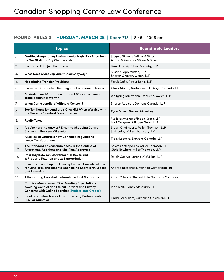# **ROUNDTABLES 3: THURSDAY, MARCH 28 |** Room 718 **|** 8:45 – 10:15 am

|     | <b>Topics</b>                                                                                                                                                        | <b>Roundtable Leaders</b>                                                     |
|-----|----------------------------------------------------------------------------------------------------------------------------------------------------------------------|-------------------------------------------------------------------------------|
| 1.  | Drafting/Negotiating Environmental High-Risk Sites Such<br>as Gas Stations, Dry Cleaners, etc.                                                                       | Jacquie Stevens, Willms & Shier<br>Anand Srivastava, Willms & Shier           |
| 2.  | Insurance 101 - Just the Basics                                                                                                                                      | Darrell Gold, Robins Appleby, LLP                                             |
| 3.  | <b>What Does Quiet Enjoyment Mean Anyway?</b>                                                                                                                        | Susan Clapp, Witten, LLP<br>Sharon Ohayon, Witten, LLP                        |
| 4.  | <b>Negotiating Transfer Provisions</b>                                                                                                                               | Faruk Gafic, Aird & Berlis, LLP                                               |
| 5.  | <b>Exclusive Covenants - Drafting and Enforcement Issues</b>                                                                                                         | Oliver Moore, Norton Rose Fulbright Canada, LLP                               |
| 6.  | Mediation and Arbitration - Does it Work or is it more<br>Trouble than it is Worth?                                                                                  | Wolfgang Kaufmann, Daoust Vukovich, LLP                                       |
| 7.  | When Can a Landlord Withhold Consent?                                                                                                                                | Sharon Addison, Dentons Canada, LLP                                           |
| 8.  | Top Ten Items for Landlord's Checklist When Working with<br>the Tenant's Standard Form of Lease                                                                      | Ryan Baker, Stewart McKelvey                                                  |
| 9.  | <b>Realty Taxes</b>                                                                                                                                                  | Melissa Muskat, Minden Gross, LLP<br>Ladi Onayemi, Minden Gross, LLP          |
| 10. | Are Anchors the Answer? Ensuring Shopping Centre<br><b>Success in the New Millennium</b>                                                                             | Stuart Chaimberg, Miller Thomson, LLP<br>Josh Selby, Miller Thomson, LLP      |
| 11. | A Review of Ontario's New Cannabis Regulations -<br><b>Lease Considerations</b>                                                                                      | Tracy Loconte, Dentons Canada, LLP                                            |
| 12. | The Standard of Reasonableness in the Context of<br>Alterations, Additions and Site Plan Approvals                                                                   | Savvas Kotsopoulos, Miller Thomson, LLP<br>Chris Newbert, Miller Thomson, LLP |
| 13. | Interplay between Environmental Issues and<br>1) Property Taxation and 2) Expropriation                                                                              | Ralph Cuervo-Lorens, McMillan, LLP                                            |
| 14. | Short Term and Pop-Up Leasing Issues - Considerations<br>for Landlords and Tenants when doing Short Term Leases<br>and Licensing                                     | Andrea Rossanese, Ivanhoé Cambridge, Inc.                                     |
| 15. | Title Insuring Leasehold Interests on First Nations Land                                                                                                             | Karen Yolevski, Stewart Title Guaranty Company                                |
| 16. | Practice Management Tips: Meeting Expectations,<br>Avoiding Conflict and Ethical Barriers and Privacy<br><b>Concerns with Online Searches (Professional Credits)</b> | John Wolf, Blaney McMurtry, LLP                                               |
| 17. | Bankruptcy/Insolvency Law for Leasing Professionals<br>(i.e. For Dummies)                                                                                            | Linda Galessiere, Camelino Galessiere, LLP                                    |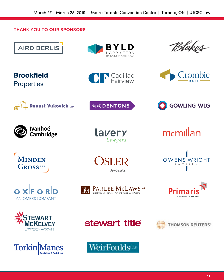# **THANK YOU TO OUR SPONSORS**